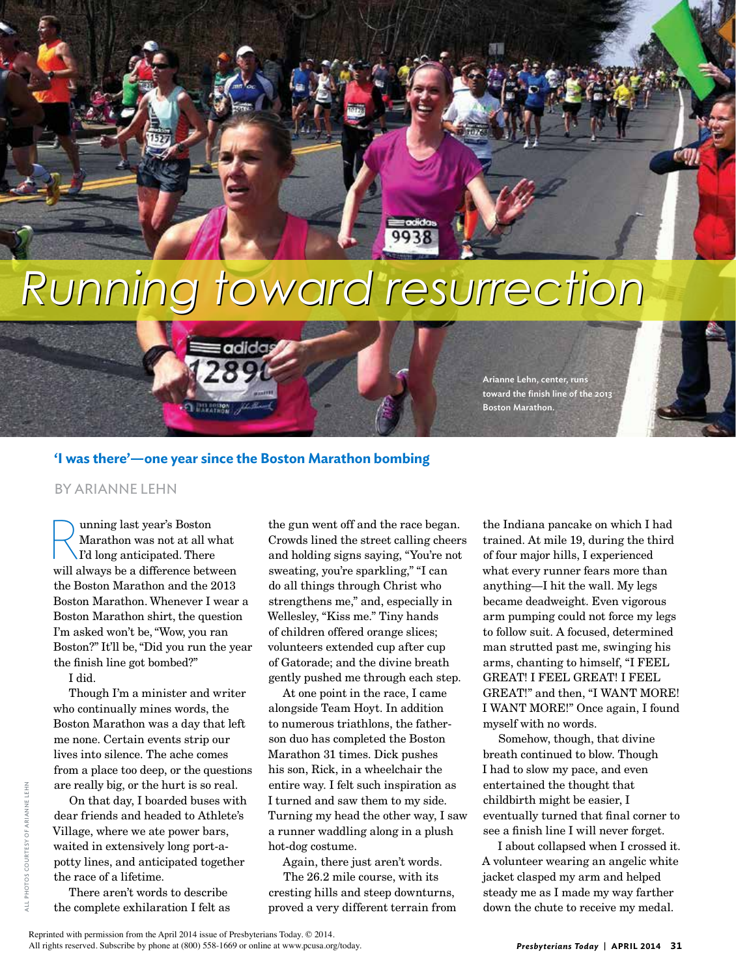## *Running toward resurrection Running toward resurrection*

Arianne Lehn, center, runs toward the finish line of the 2013

Boston Marathon.



adida

## BY ARIANNE LEHN

unning last year's Boston Marathon was not at all what I'd long anticipated. There will always be a difference between the Boston Marathon and the 2013 Boston Marathon. Whenever I wear a Boston Marathon shirt, the question I'm asked won't be, "Wow, you ran Boston?" It'll be, "Did you run the year the finish line got bombed?"

I did.

Though I'm a minister and writer who continually mines words, the Boston Marathon was a day that left me none. Certain events strip our lives into silence. The ache comes from a place too deep, or the questions are really big, or the hurt is so real.

On that day, I boarded buses with dear friends and headed to Athlete's Village, where we ate power bars, waited in extensively long port-apotty lines, and anticipated together the race of a lifetime.

There aren't words to describe the complete exhilaration I felt as

the gun went off and the race began. Crowds lined the street calling cheers and holding signs saying, "You're not sweating, you're sparkling," "I can do all things through Christ who strengthens me," and, especially in Wellesley, "Kiss me." Tiny hands of children offered orange slices; volunteers extended cup after cup of Gatorade; and the divine breath gently pushed me through each step.

At one point in the race, I came alongside Team Hoyt. In addition to numerous triathlons, the fatherson duo has completed the Boston Marathon 31 times. Dick pushes his son, Rick, in a wheelchair the entire way. I felt such inspiration as I turned and saw them to my side. Turning my head the other way, I saw a runner waddling along in a plush hot-dog costume.

Again, there just aren't words.

The 26.2 mile course, with its cresting hills and steep downturns, proved a very different terrain from

the Indiana pancake on which I had trained. At mile 19, during the third of four major hills, I experienced what every runner fears more than anything—I hit the wall. My legs became deadweight. Even vigorous arm pumping could not force my legs to follow suit. A focused, determined man strutted past me, swinging his arms, chanting to himself, "I FEEL GREAT! I FEEL GREAT! I FEEL GREAT!" and then, "I WANT MORE! I WANT MORE!" Once again, I found myself with no words.

Somehow, though, that divine breath continued to blow. Though I had to slow my pace, and even entertained the thought that childbirth might be easier, I eventually turned that final corner to see a finish line I will never forget.

I about collapsed when I crossed it. A volunteer wearing an angelic white jacket clasped my arm and helped steady me as I made my way farther down the chute to receive my medal.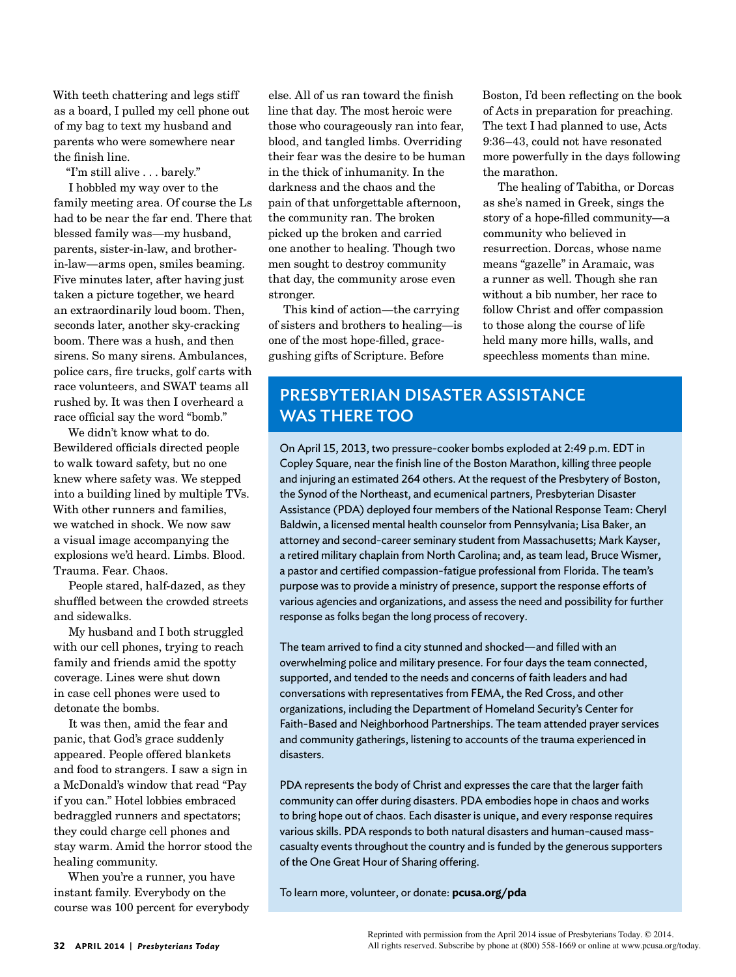With teeth chattering and legs stiff as a board, I pulled my cell phone out of my bag to text my husband and parents who were somewhere near the finish line.

"I'm still alive . . . barely."

I hobbled my way over to the family meeting area. Of course the Ls had to be near the far end. There that blessed family was—my husband, parents, sister-in-law, and brotherin-law—arms open, smiles beaming. Five minutes later, after having just taken a picture together, we heard an extraordinarily loud boom. Then, seconds later, another sky-cracking boom. There was a hush, and then sirens. So many sirens. Ambulances, police cars, fire trucks, golf carts with race volunteers, and SWAT teams all rushed by. It was then I overheard a race official say the word "bomb."

We didn't know what to do. Bewildered officials directed people to walk toward safety, but no one knew where safety was. We stepped into a building lined by multiple TVs. With other runners and families, we watched in shock. We now saw a visual image accompanying the explosions we'd heard. Limbs. Blood. Trauma. Fear. Chaos.

People stared, half-dazed, as they shuffled between the crowded streets and sidewalks.

My husband and I both struggled with our cell phones, trying to reach family and friends amid the spotty coverage. Lines were shut down in case cell phones were used to detonate the bombs.

It was then, amid the fear and panic, that God's grace suddenly appeared. People offered blankets and food to strangers. I saw a sign in a McDonald's window that read "Pay if you can." Hotel lobbies embraced bedraggled runners and spectators; they could charge cell phones and stay warm. Amid the horror stood the healing community.

When you're a runner, you have instant family. Everybody on the course was 100 percent for everybody

else. All of us ran toward the finish line that day. The most heroic were those who courageously ran into fear, blood, and tangled limbs. Overriding their fear was the desire to be human in the thick of inhumanity. In the darkness and the chaos and the pain of that unforgettable afternoon, the community ran. The broken picked up the broken and carried one another to healing. Though two men sought to destroy community that day, the community arose even stronger.

This kind of action—the carrying of sisters and brothers to healing—is one of the most hope-filled, gracegushing gifts of Scripture. Before

Boston, I'd been reflecting on the book of Acts in preparation for preaching. The text I had planned to use, Acts 9:36–43, could not have resonated more powerfully in the days following the marathon.

The healing of Tabitha, or Dorcas as she's named in Greek, sings the story of a hope-filled community—a community who believed in resurrection. Dorcas, whose name means "gazelle" in Aramaic, was a runner as well. Though she ran without a bib number, her race to follow Christ and offer compassion to those along the course of life held many more hills, walls, and speechless moments than mine.

## PRESBYTERIAN DISASTER ASSISTANCE WAS THERE TOO

On April 15, 2013, two pressure-cooker bombs exploded at 2:49 p.m. EDT in Copley Square, near the finish line of the Boston Marathon, killing three people and injuring an estimated 264 others. At the request of the Presbytery of Boston, the Synod of the Northeast, and ecumenical partners, Presbyterian Disaster Assistance (PDA) deployed four members of the National Response Team: Cheryl Baldwin, a licensed mental health counselor from Pennsylvania; Lisa Baker, an attorney and second-career seminary student from Massachusetts; Mark Kayser, a retired military chaplain from North Carolina; and, as team lead, Bruce Wismer, a pastor and certified compassion-fatigue professional from Florida. The team's purpose was to provide a ministry of presence, support the response efforts of various agencies and organizations, and assess the need and possibility for further response as folks began the long process of recovery.

The team arrived to find a city stunned and shocked—and filled with an overwhelming police and military presence. For four days the team connected, supported, and tended to the needs and concerns of faith leaders and had conversations with representatives from FEMA, the Red Cross, and other organizations, including the Department of Homeland Security's Center for Faith-Based and Neighborhood Partnerships. The team attended prayer services and community gatherings, listening to accounts of the trauma experienced in disasters.

PDA represents the body of Christ and expresses the care that the larger faith community can offer during disasters. PDA embodies hope in chaos and works to bring hope out of chaos. Each disaster is unique, and every response requires various skills. PDA responds to both natural disasters and human-caused masscasualty events throughout the country and is funded by the generous supporters of the One Great Hour of Sharing offering.

To learn more, volunteer, or donate: **pcusa.org/pda**